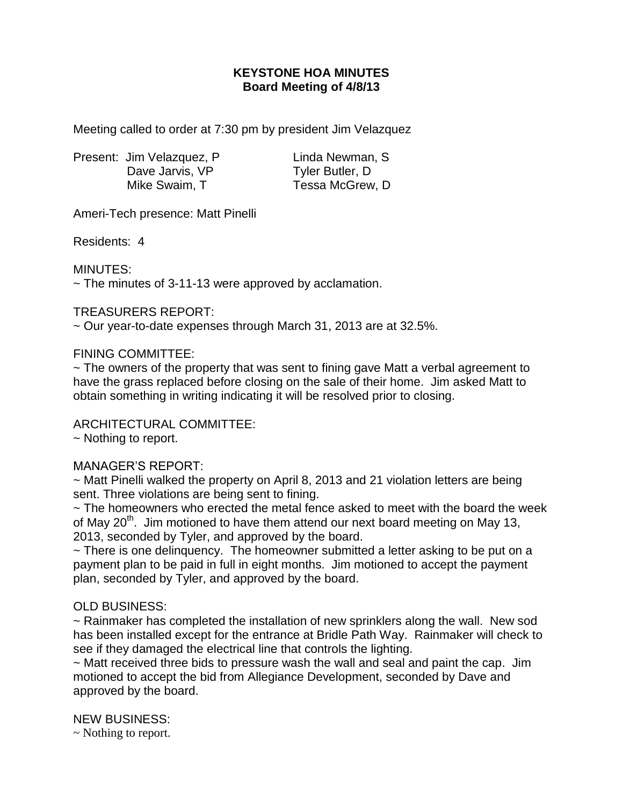# **KEYSTONE HOA MINUTES Board Meeting of 4/8/13**

Meeting called to order at 7:30 pm by president Jim Velazquez

Present: Jim Velazquez, P Linda Newman, S Dave Jarvis, VP Tyler Butler, D Mike Swaim, T Tessa McGrew, D

Ameri-Tech presence: Matt Pinelli

Residents: 4

MINUTES:

 $\sim$  The minutes of 3-11-13 were approved by acclamation.

### TREASURERS REPORT:

~ Our year-to-date expenses through March 31, 2013 are at 32.5%.

### FINING COMMITTEE:

~ The owners of the property that was sent to fining gave Matt a verbal agreement to have the grass replaced before closing on the sale of their home. Jim asked Matt to obtain something in writing indicating it will be resolved prior to closing.

## ARCHITECTURAL COMMITTEE:

~ Nothing to report.

## MANAGER'S REPORT:

~ Matt Pinelli walked the property on April 8, 2013 and 21 violation letters are being sent. Three violations are being sent to fining.

~ The homeowners who erected the metal fence asked to meet with the board the week of May  $20<sup>th</sup>$ . Jim motioned to have them attend our next board meeting on May 13, 2013, seconded by Tyler, and approved by the board.

 $\sim$  There is one delinguency. The homeowner submitted a letter asking to be put on a payment plan to be paid in full in eight months. Jim motioned to accept the payment plan, seconded by Tyler, and approved by the board.

## OLD BUSINESS:

~ Rainmaker has completed the installation of new sprinklers along the wall. New sod has been installed except for the entrance at Bridle Path Way. Rainmaker will check to see if they damaged the electrical line that controls the lighting.

~ Matt received three bids to pressure wash the wall and seal and paint the cap. Jim motioned to accept the bid from Allegiance Development, seconded by Dave and approved by the board.

NEW BUSINESS:

~ Nothing to report.